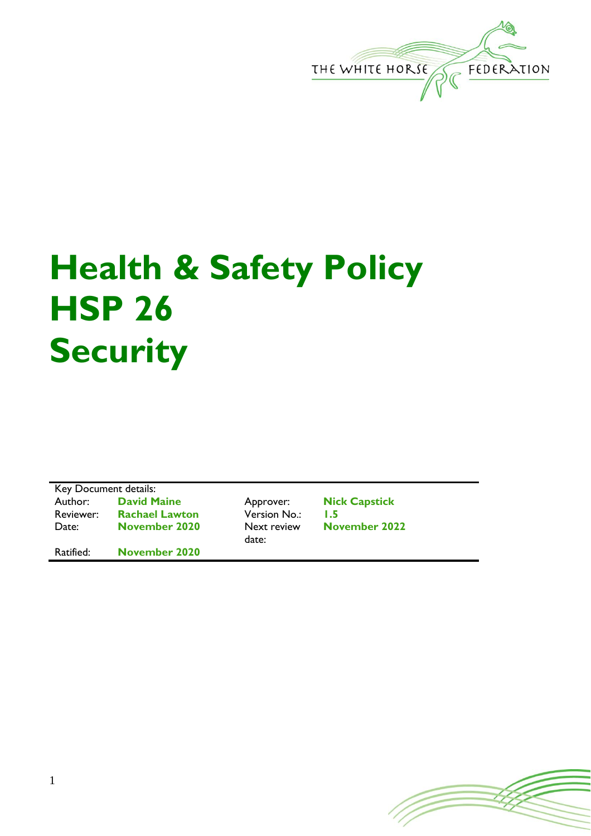

## **Health & Safety Policy HSP 26 Security**

Key Document details: Author: **David Maine** Approver: **Nick Capstick** Reviewer: **Rachael Lawton** Version No.: **1.5** Date: **November 2020** Next review Ratified: **November 2020**

date:

**November 2022**

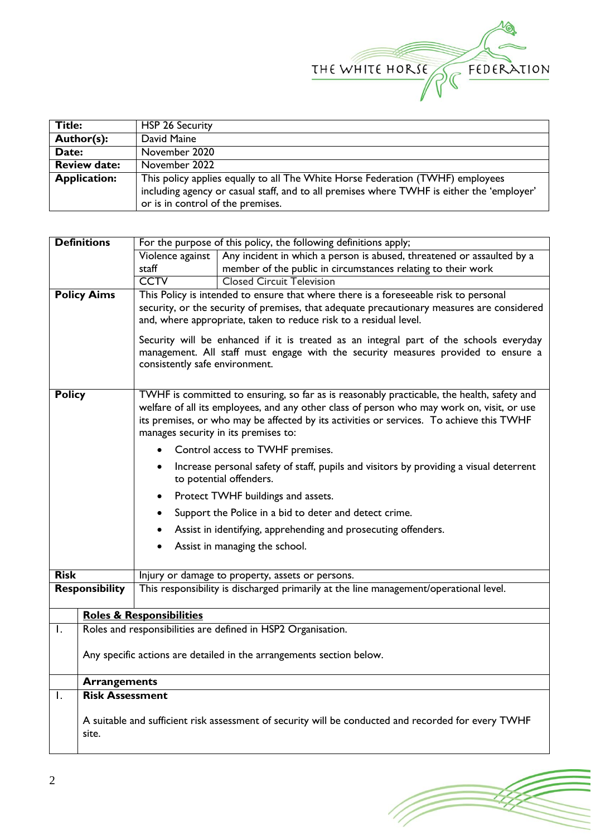

| <b>Title:</b>       | HSP 26 Security                                                                           |
|---------------------|-------------------------------------------------------------------------------------------|
| Author(s):          | David Maine                                                                               |
| Date:               | November 2020                                                                             |
| <b>Review date:</b> | November 2022                                                                             |
| <b>Application:</b> | This policy applies equally to all The White Horse Federation (TWHF) employees            |
|                     | including agency or casual staff, and to all premises where TWHF is either the 'employer' |
|                     | or is in control of the premises.                                                         |

| <b>Definitions</b><br>For the purpose of this policy, the following definitions apply; |                                                                                                     |                                                                                                                   |                                                                                                                                                                                          |  |  |
|----------------------------------------------------------------------------------------|-----------------------------------------------------------------------------------------------------|-------------------------------------------------------------------------------------------------------------------|------------------------------------------------------------------------------------------------------------------------------------------------------------------------------------------|--|--|
|                                                                                        |                                                                                                     | Violence against                                                                                                  | Any incident in which a person is abused, threatened or assaulted by a                                                                                                                   |  |  |
|                                                                                        |                                                                                                     | staff                                                                                                             | member of the public in circumstances relating to their work                                                                                                                             |  |  |
|                                                                                        |                                                                                                     | <b>CCTV</b>                                                                                                       | <b>Closed Circuit Television</b>                                                                                                                                                         |  |  |
| <b>Policy Aims</b>                                                                     |                                                                                                     |                                                                                                                   | This Policy is intended to ensure that where there is a foreseeable risk to personal                                                                                                     |  |  |
|                                                                                        |                                                                                                     |                                                                                                                   | security, or the security of premises, that adequate precautionary measures are considered                                                                                               |  |  |
|                                                                                        |                                                                                                     |                                                                                                                   | and, where appropriate, taken to reduce risk to a residual level.                                                                                                                        |  |  |
|                                                                                        |                                                                                                     |                                                                                                                   | Security will be enhanced if it is treated as an integral part of the schools everyday                                                                                                   |  |  |
|                                                                                        |                                                                                                     |                                                                                                                   | management. All staff must engage with the security measures provided to ensure a                                                                                                        |  |  |
|                                                                                        |                                                                                                     | consistently safe environment.                                                                                    |                                                                                                                                                                                          |  |  |
|                                                                                        |                                                                                                     |                                                                                                                   |                                                                                                                                                                                          |  |  |
| <b>Policy</b>                                                                          |                                                                                                     |                                                                                                                   | TWHF is committed to ensuring, so far as is reasonably practicable, the health, safety and<br>welfare of all its employees, and any other class of person who may work on, visit, or use |  |  |
|                                                                                        |                                                                                                     |                                                                                                                   | its premises, or who may be affected by its activities or services. To achieve this TWHF                                                                                                 |  |  |
|                                                                                        |                                                                                                     |                                                                                                                   | manages security in its premises to:                                                                                                                                                     |  |  |
|                                                                                        |                                                                                                     | Control access to TWHF premises.                                                                                  |                                                                                                                                                                                          |  |  |
|                                                                                        |                                                                                                     | Increase personal safety of staff, pupils and visitors by providing a visual deterrent<br>to potential offenders. |                                                                                                                                                                                          |  |  |
|                                                                                        |                                                                                                     | Protect TWHF buildings and assets.<br>٠                                                                           |                                                                                                                                                                                          |  |  |
|                                                                                        |                                                                                                     | Support the Police in a bid to deter and detect crime.                                                            |                                                                                                                                                                                          |  |  |
|                                                                                        |                                                                                                     | Assist in identifying, apprehending and prosecuting offenders.                                                    |                                                                                                                                                                                          |  |  |
|                                                                                        |                                                                                                     |                                                                                                                   | Assist in managing the school.                                                                                                                                                           |  |  |
|                                                                                        |                                                                                                     |                                                                                                                   |                                                                                                                                                                                          |  |  |
| <b>Risk</b>                                                                            |                                                                                                     |                                                                                                                   | Injury or damage to property, assets or persons.                                                                                                                                         |  |  |
|                                                                                        | <b>Responsibility</b>                                                                               |                                                                                                                   | This responsibility is discharged primarily at the line management/operational level.                                                                                                    |  |  |
|                                                                                        | <b>Roles &amp; Responsibilities</b>                                                                 |                                                                                                                   |                                                                                                                                                                                          |  |  |
| $\mathsf{I}$ .                                                                         | Roles and responsibilities are defined in HSP2 Organisation.                                        |                                                                                                                   |                                                                                                                                                                                          |  |  |
|                                                                                        |                                                                                                     |                                                                                                                   |                                                                                                                                                                                          |  |  |
|                                                                                        |                                                                                                     | Any specific actions are detailed in the arrangements section below.                                              |                                                                                                                                                                                          |  |  |
|                                                                                        | <b>Arrangements</b>                                                                                 |                                                                                                                   |                                                                                                                                                                                          |  |  |
| $\mathsf{I}$ .                                                                         | <b>Risk Assessment</b>                                                                              |                                                                                                                   |                                                                                                                                                                                          |  |  |
|                                                                                        |                                                                                                     |                                                                                                                   |                                                                                                                                                                                          |  |  |
|                                                                                        | A suitable and sufficient risk assessment of security will be conducted and recorded for every TWHF |                                                                                                                   |                                                                                                                                                                                          |  |  |
| site.                                                                                  |                                                                                                     |                                                                                                                   |                                                                                                                                                                                          |  |  |
|                                                                                        |                                                                                                     |                                                                                                                   |                                                                                                                                                                                          |  |  |

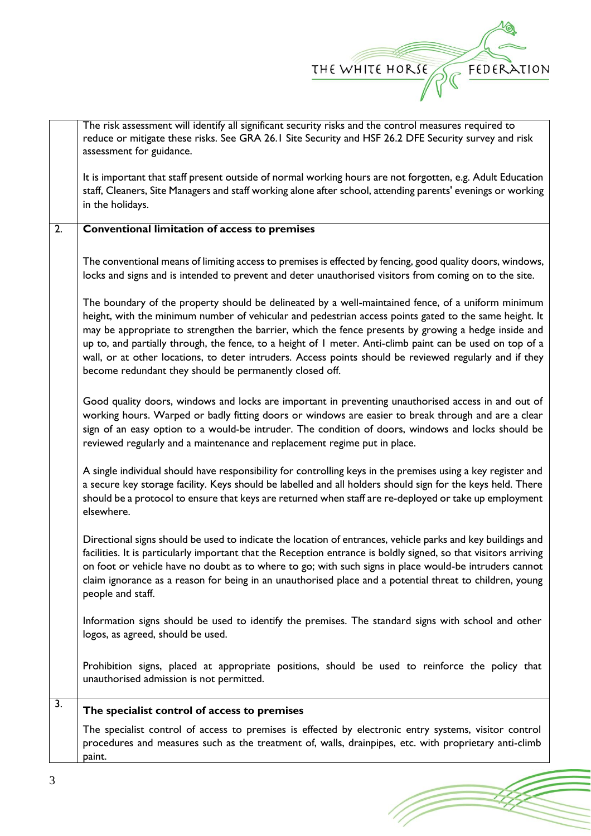

(T

|                  | The risk assessment will identify all significant security risks and the control measures required to<br>reduce or mitigate these risks. See GRA 26.1 Site Security and HSF 26.2 DFE Security survey and risk<br>assessment for guidance.                                                                                                                                                                                                                                                                                                                                                               |
|------------------|---------------------------------------------------------------------------------------------------------------------------------------------------------------------------------------------------------------------------------------------------------------------------------------------------------------------------------------------------------------------------------------------------------------------------------------------------------------------------------------------------------------------------------------------------------------------------------------------------------|
|                  | It is important that staff present outside of normal working hours are not forgotten, e.g. Adult Education<br>staff, Cleaners, Site Managers and staff working alone after school, attending parents' evenings or working<br>in the holidays.                                                                                                                                                                                                                                                                                                                                                           |
| $\overline{2}$ . | <b>Conventional limitation of access to premises</b>                                                                                                                                                                                                                                                                                                                                                                                                                                                                                                                                                    |
|                  | The conventional means of limiting access to premises is effected by fencing, good quality doors, windows,<br>locks and signs and is intended to prevent and deter unauthorised visitors from coming on to the site.                                                                                                                                                                                                                                                                                                                                                                                    |
|                  | The boundary of the property should be delineated by a well-maintained fence, of a uniform minimum<br>height, with the minimum number of vehicular and pedestrian access points gated to the same height. It<br>may be appropriate to strengthen the barrier, which the fence presents by growing a hedge inside and<br>up to, and partially through, the fence, to a height of I meter. Anti-climb paint can be used on top of a<br>wall, or at other locations, to deter intruders. Access points should be reviewed regularly and if they<br>become redundant they should be permanently closed off. |
|                  | Good quality doors, windows and locks are important in preventing unauthorised access in and out of<br>working hours. Warped or badly fitting doors or windows are easier to break through and are a clear<br>sign of an easy option to a would-be intruder. The condition of doors, windows and locks should be<br>reviewed regularly and a maintenance and replacement regime put in place.                                                                                                                                                                                                           |
|                  | A single individual should have responsibility for controlling keys in the premises using a key register and<br>a secure key storage facility. Keys should be labelled and all holders should sign for the keys held. There<br>should be a protocol to ensure that keys are returned when staff are re-deployed or take up employment<br>elsewhere.                                                                                                                                                                                                                                                     |
|                  | Directional signs should be used to indicate the location of entrances, vehicle parks and key buildings and<br>facilities. It is particularly important that the Reception entrance is boldly signed, so that visitors arriving<br>on foot or vehicle have no doubt as to where to go; with such signs in place would-be intruders cannot<br>claim ignorance as a reason for being in an unauthorised place and a potential threat to children, young<br>people and staff.                                                                                                                              |
|                  | Information signs should be used to identify the premises. The standard signs with school and other<br>logos, as agreed, should be used.                                                                                                                                                                                                                                                                                                                                                                                                                                                                |
|                  | Prohibition signs, placed at appropriate positions, should be used to reinforce the policy that<br>unauthorised admission is not permitted.                                                                                                                                                                                                                                                                                                                                                                                                                                                             |
| $\overline{3}$ . | The specialist control of access to premises                                                                                                                                                                                                                                                                                                                                                                                                                                                                                                                                                            |
|                  | The specialist control of access to premises is effected by electronic entry systems, visitor control<br>procedures and measures such as the treatment of, walls, drainpipes, etc. with proprietary anti-climb<br>paint.                                                                                                                                                                                                                                                                                                                                                                                |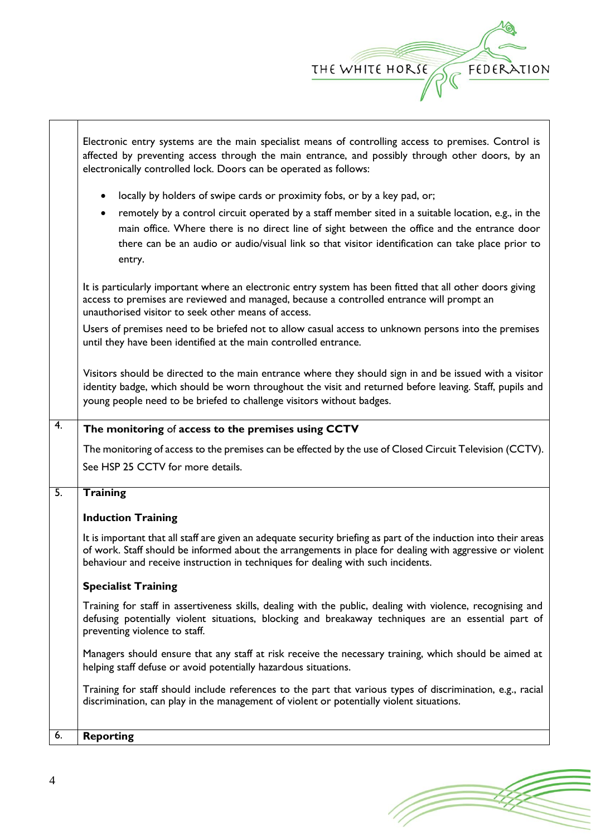

⅂

|                  | Electronic entry systems are the main specialist means of controlling access to premises. Control is<br>affected by preventing access through the main entrance, and possibly through other doors, by an<br>electronically controlled lock. Doors can be operated as follows:                                                                                                                                |  |  |  |
|------------------|--------------------------------------------------------------------------------------------------------------------------------------------------------------------------------------------------------------------------------------------------------------------------------------------------------------------------------------------------------------------------------------------------------------|--|--|--|
|                  | locally by holders of swipe cards or proximity fobs, or by a key pad, or;<br>$\bullet$<br>remotely by a control circuit operated by a staff member sited in a suitable location, e.g., in the<br>main office. Where there is no direct line of sight between the office and the entrance door<br>there can be an audio or audio/visual link so that visitor identification can take place prior to<br>entry. |  |  |  |
|                  | It is particularly important where an electronic entry system has been fitted that all other doors giving<br>access to premises are reviewed and managed, because a controlled entrance will prompt an<br>unauthorised visitor to seek other means of access.                                                                                                                                                |  |  |  |
|                  | Users of premises need to be briefed not to allow casual access to unknown persons into the premises<br>until they have been identified at the main controlled entrance.                                                                                                                                                                                                                                     |  |  |  |
|                  | Visitors should be directed to the main entrance where they should sign in and be issued with a visitor<br>identity badge, which should be worn throughout the visit and returned before leaving. Staff, pupils and<br>young people need to be briefed to challenge visitors without badges.                                                                                                                 |  |  |  |
| 4.               | The monitoring of access to the premises using CCTV                                                                                                                                                                                                                                                                                                                                                          |  |  |  |
|                  | The monitoring of access to the premises can be effected by the use of Closed Circuit Television (CCTV).                                                                                                                                                                                                                                                                                                     |  |  |  |
|                  | See HSP 25 CCTV for more details.                                                                                                                                                                                                                                                                                                                                                                            |  |  |  |
| $\overline{5}$ . | <b>Training</b>                                                                                                                                                                                                                                                                                                                                                                                              |  |  |  |
|                  | <b>Induction Training</b>                                                                                                                                                                                                                                                                                                                                                                                    |  |  |  |
|                  | It is important that all staff are given an adequate security briefing as part of the induction into their areas<br>of work. Staff should be informed about the arrangements in place for dealing with aggressive or violent<br>behaviour and receive instruction in techniques for dealing with such incidents.                                                                                             |  |  |  |
|                  | <b>Specialist Training</b>                                                                                                                                                                                                                                                                                                                                                                                   |  |  |  |
|                  | Training for staff in assertiveness skills, dealing with the public, dealing with violence, recognising and<br>defusing potentially violent situations, blocking and breakaway techniques are an essential part of<br>preventing violence to staff.                                                                                                                                                          |  |  |  |
|                  | Managers should ensure that any staff at risk receive the necessary training, which should be aimed at<br>helping staff defuse or avoid potentially hazardous situations.                                                                                                                                                                                                                                    |  |  |  |
|                  | Training for staff should include references to the part that various types of discrimination, e.g., racial<br>discrimination, can play in the management of violent or potentially violent situations.                                                                                                                                                                                                      |  |  |  |
| 6.               | <b>Reporting</b>                                                                                                                                                                                                                                                                                                                                                                                             |  |  |  |

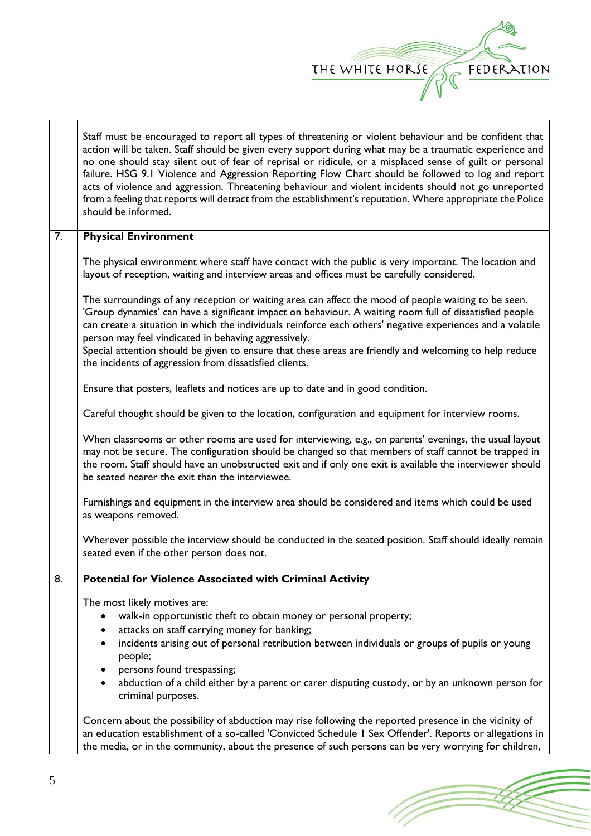

|                  | Staff must be encouraged to report all types of threatening or violent behaviour and be confident that<br>action will be taken. Staff should be given every support during what may be a traumatic experience and<br>no one should stay silent out of fear of reprisal or ridicule, or a misplaced sense of guilt or personal<br>failure. HSG 9.1 Violence and Aggression Reporting Flow Chart should be followed to log and report<br>acts of violence and aggression. Threatening behaviour and violent incidents should not go unreported<br>from a feeling that reports will detract from the establishment's reputation. Where appropriate the Police<br>should be informed. |  |  |
|------------------|-----------------------------------------------------------------------------------------------------------------------------------------------------------------------------------------------------------------------------------------------------------------------------------------------------------------------------------------------------------------------------------------------------------------------------------------------------------------------------------------------------------------------------------------------------------------------------------------------------------------------------------------------------------------------------------|--|--|
| $\overline{7}$ . | <b>Physical Environment</b>                                                                                                                                                                                                                                                                                                                                                                                                                                                                                                                                                                                                                                                       |  |  |
|                  | The physical environment where staff have contact with the public is very important. The location and<br>layout of reception, waiting and interview areas and offices must be carefully considered.                                                                                                                                                                                                                                                                                                                                                                                                                                                                               |  |  |
|                  | The surroundings of any reception or waiting area can affect the mood of people waiting to be seen.<br>'Group dynamics' can have a significant impact on behaviour. A waiting room full of dissatisfied people<br>can create a situation in which the individuals reinforce each others' negative experiences and a volatile<br>person may feel vindicated in behaving aggressively.<br>Special attention should be given to ensure that these areas are friendly and welcoming to help reduce<br>the incidents of aggression from dissatisfied clients.                                                                                                                          |  |  |
|                  | Ensure that posters, leaflets and notices are up to date and in good condition.                                                                                                                                                                                                                                                                                                                                                                                                                                                                                                                                                                                                   |  |  |
|                  | Careful thought should be given to the location, configuration and equipment for interview rooms.                                                                                                                                                                                                                                                                                                                                                                                                                                                                                                                                                                                 |  |  |
|                  | When classrooms or other rooms are used for interviewing, e.g., on parents' evenings, the usual layout<br>may not be secure. The configuration should be changed so that members of staff cannot be trapped in<br>the room. Staff should have an unobstructed exit and if only one exit is available the interviewer should<br>be seated nearer the exit than the interviewee.                                                                                                                                                                                                                                                                                                    |  |  |
|                  | Furnishings and equipment in the interview area should be considered and items which could be used<br>as weapons removed.                                                                                                                                                                                                                                                                                                                                                                                                                                                                                                                                                         |  |  |
|                  | Wherever possible the interview should be conducted in the seated position. Staff should ideally remain<br>seated even if the other person does not.                                                                                                                                                                                                                                                                                                                                                                                                                                                                                                                              |  |  |
| 8.               | <b>Potential for Violence Associated with Criminal Activity</b>                                                                                                                                                                                                                                                                                                                                                                                                                                                                                                                                                                                                                   |  |  |
|                  | The most likely motives are:<br>walk-in opportunistic theft to obtain money or personal property;<br>$\bullet$<br>attacks on staff carrying money for banking;<br>incidents arising out of personal retribution between individuals or groups of pupils or young<br>$\bullet$<br>people;<br>persons found trespassing;<br>٠                                                                                                                                                                                                                                                                                                                                                       |  |  |
|                  | abduction of a child either by a parent or carer disputing custody, or by an unknown person for<br>criminal purposes.                                                                                                                                                                                                                                                                                                                                                                                                                                                                                                                                                             |  |  |
|                  | Concern about the possibility of abduction may rise following the reported presence in the vicinity of<br>an education establishment of a so-called 'Convicted Schedule 1 Sex Offender'. Reports or allegations in<br>the media, or in the community, about the presence of such persons can be very worrying for children,                                                                                                                                                                                                                                                                                                                                                       |  |  |

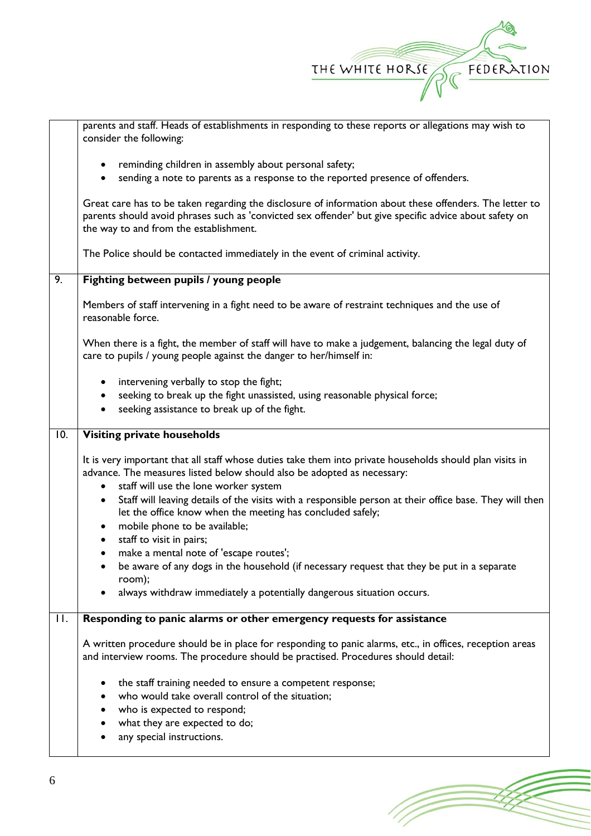

|                   | parents and staff. Heads of establishments in responding to these reports or allegations may wish to<br>consider the following:                                                                                                                                                                                                                                                                                                                                                                                                                                                                                                                                                                                                                        |  |  |
|-------------------|--------------------------------------------------------------------------------------------------------------------------------------------------------------------------------------------------------------------------------------------------------------------------------------------------------------------------------------------------------------------------------------------------------------------------------------------------------------------------------------------------------------------------------------------------------------------------------------------------------------------------------------------------------------------------------------------------------------------------------------------------------|--|--|
|                   | reminding children in assembly about personal safety;                                                                                                                                                                                                                                                                                                                                                                                                                                                                                                                                                                                                                                                                                                  |  |  |
|                   | sending a note to parents as a response to the reported presence of offenders.                                                                                                                                                                                                                                                                                                                                                                                                                                                                                                                                                                                                                                                                         |  |  |
|                   | Great care has to be taken regarding the disclosure of information about these offenders. The letter to<br>parents should avoid phrases such as 'convicted sex offender' but give specific advice about safety on<br>the way to and from the establishment.                                                                                                                                                                                                                                                                                                                                                                                                                                                                                            |  |  |
|                   | The Police should be contacted immediately in the event of criminal activity.                                                                                                                                                                                                                                                                                                                                                                                                                                                                                                                                                                                                                                                                          |  |  |
| 9.                | Fighting between pupils / young people                                                                                                                                                                                                                                                                                                                                                                                                                                                                                                                                                                                                                                                                                                                 |  |  |
|                   | Members of staff intervening in a fight need to be aware of restraint techniques and the use of<br>reasonable force.                                                                                                                                                                                                                                                                                                                                                                                                                                                                                                                                                                                                                                   |  |  |
|                   | When there is a fight, the member of staff will have to make a judgement, balancing the legal duty of<br>care to pupils / young people against the danger to her/himself in:                                                                                                                                                                                                                                                                                                                                                                                                                                                                                                                                                                           |  |  |
|                   | intervening verbally to stop the fight;<br>$\bullet$<br>seeking to break up the fight unassisted, using reasonable physical force;<br>seeking assistance to break up of the fight.                                                                                                                                                                                                                                                                                                                                                                                                                                                                                                                                                                     |  |  |
| $\overline{10}$ . | <b>Visiting private households</b>                                                                                                                                                                                                                                                                                                                                                                                                                                                                                                                                                                                                                                                                                                                     |  |  |
|                   | It is very important that all staff whose duties take them into private households should plan visits in<br>advance. The measures listed below should also be adopted as necessary:<br>staff will use the lone worker system<br>$\bullet$<br>Staff will leaving details of the visits with a responsible person at their office base. They will then<br>٠<br>let the office know when the meeting has concluded safely;<br>mobile phone to be available;<br>$\bullet$<br>staff to visit in pairs;<br>$\bullet$<br>make a mental note of 'escape routes';<br>$\bullet$<br>be aware of any dogs in the household (if necessary request that they be put in a separate<br>room);<br>always withdraw immediately a potentially dangerous situation occurs. |  |  |
| $\Pi$ .           | Responding to panic alarms or other emergency requests for assistance                                                                                                                                                                                                                                                                                                                                                                                                                                                                                                                                                                                                                                                                                  |  |  |
|                   | A written procedure should be in place for responding to panic alarms, etc., in offices, reception areas<br>and interview rooms. The procedure should be practised. Procedures should detail:                                                                                                                                                                                                                                                                                                                                                                                                                                                                                                                                                          |  |  |
|                   | the staff training needed to ensure a competent response;                                                                                                                                                                                                                                                                                                                                                                                                                                                                                                                                                                                                                                                                                              |  |  |
|                   | who would take overall control of the situation;                                                                                                                                                                                                                                                                                                                                                                                                                                                                                                                                                                                                                                                                                                       |  |  |
|                   | who is expected to respond;                                                                                                                                                                                                                                                                                                                                                                                                                                                                                                                                                                                                                                                                                                                            |  |  |
|                   | what they are expected to do;<br>any special instructions.                                                                                                                                                                                                                                                                                                                                                                                                                                                                                                                                                                                                                                                                                             |  |  |
|                   |                                                                                                                                                                                                                                                                                                                                                                                                                                                                                                                                                                                                                                                                                                                                                        |  |  |

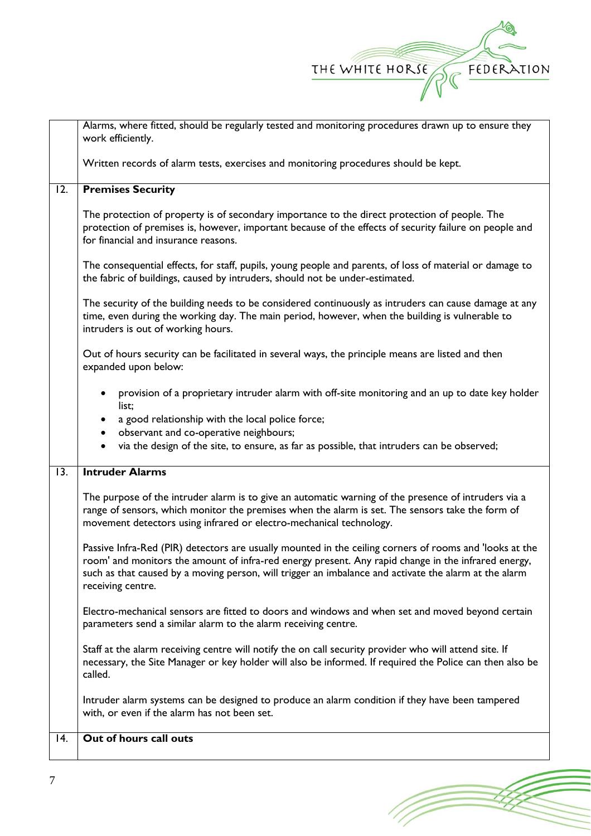

|                   | Alarms, where fitted, should be regularly tested and monitoring procedures drawn up to ensure they<br>work efficiently.                                                                                                                                                                                                                      |  |  |
|-------------------|----------------------------------------------------------------------------------------------------------------------------------------------------------------------------------------------------------------------------------------------------------------------------------------------------------------------------------------------|--|--|
|                   | Written records of alarm tests, exercises and monitoring procedures should be kept.                                                                                                                                                                                                                                                          |  |  |
| 12.               | <b>Premises Security</b>                                                                                                                                                                                                                                                                                                                     |  |  |
|                   | The protection of property is of secondary importance to the direct protection of people. The<br>protection of premises is, however, important because of the effects of security failure on people and<br>for financial and insurance reasons.                                                                                              |  |  |
|                   | The consequential effects, for staff, pupils, young people and parents, of loss of material or damage to<br>the fabric of buildings, caused by intruders, should not be under-estimated.                                                                                                                                                     |  |  |
|                   | The security of the building needs to be considered continuously as intruders can cause damage at any<br>time, even during the working day. The main period, however, when the building is vulnerable to<br>intruders is out of working hours.                                                                                               |  |  |
|                   | Out of hours security can be facilitated in several ways, the principle means are listed and then<br>expanded upon below:                                                                                                                                                                                                                    |  |  |
|                   | provision of a proprietary intruder alarm with off-site monitoring and an up to date key holder<br>list;                                                                                                                                                                                                                                     |  |  |
|                   | a good relationship with the local police force;<br>$\bullet$<br>observant and co-operative neighbours;<br>$\bullet$                                                                                                                                                                                                                         |  |  |
|                   | via the design of the site, to ensure, as far as possible, that intruders can be observed;<br>$\bullet$                                                                                                                                                                                                                                      |  |  |
| $\overline{13}$ . | <b>Intruder Alarms</b>                                                                                                                                                                                                                                                                                                                       |  |  |
|                   | The purpose of the intruder alarm is to give an automatic warning of the presence of intruders via a<br>range of sensors, which monitor the premises when the alarm is set. The sensors take the form of<br>movement detectors using infrared or electro-mechanical technology.                                                              |  |  |
|                   | Passive Infra-Red (PIR) detectors are usually mounted in the ceiling corners of rooms and 'looks at the<br>room' and monitors the amount of infra-red energy present. Any rapid change in the infrared energy,<br>such as that caused by a moving person, will trigger an imbalance and activate the alarm at the alarm<br>receiving centre. |  |  |
|                   | Electro-mechanical sensors are fitted to doors and windows and when set and moved beyond certain<br>parameters send a similar alarm to the alarm receiving centre.                                                                                                                                                                           |  |  |
|                   | Staff at the alarm receiving centre will notify the on call security provider who will attend site. If<br>necessary, the Site Manager or key holder will also be informed. If required the Police can then also be<br>called.                                                                                                                |  |  |
|                   | Intruder alarm systems can be designed to produce an alarm condition if they have been tampered<br>with, or even if the alarm has not been set.                                                                                                                                                                                              |  |  |
| 14.               | Out of hours call outs                                                                                                                                                                                                                                                                                                                       |  |  |
|                   |                                                                                                                                                                                                                                                                                                                                              |  |  |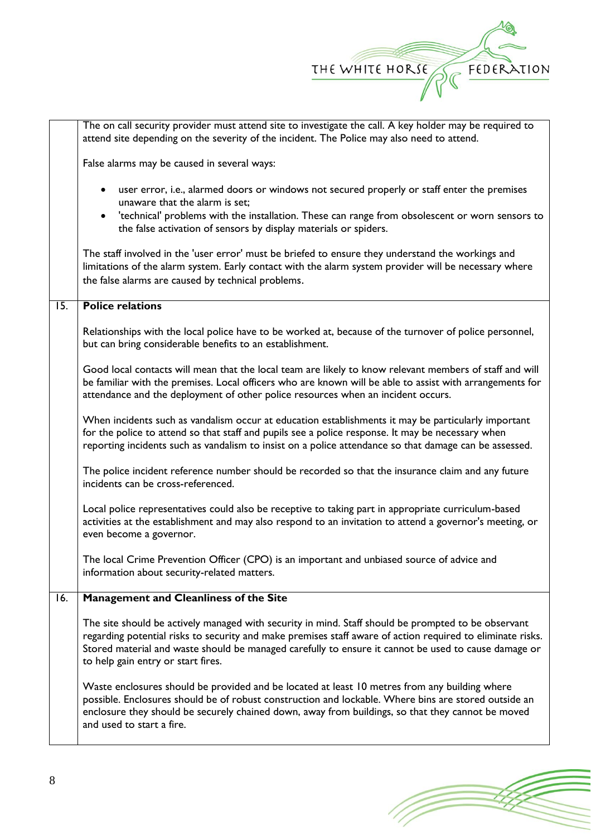

|                   | The on call security provider must attend site to investigate the call. A key holder may be required to<br>attend site depending on the severity of the incident. The Police may also need to attend.                                                                                                                                                           |  |  |
|-------------------|-----------------------------------------------------------------------------------------------------------------------------------------------------------------------------------------------------------------------------------------------------------------------------------------------------------------------------------------------------------------|--|--|
|                   | False alarms may be caused in several ways:                                                                                                                                                                                                                                                                                                                     |  |  |
|                   | user error, i.e., alarmed doors or windows not secured properly or staff enter the premises<br>unaware that the alarm is set;<br>'technical' problems with the installation. These can range from obsolescent or worn sensors to<br>$\bullet$<br>the false activation of sensors by display materials or spiders.                                               |  |  |
|                   | The staff involved in the 'user error' must be briefed to ensure they understand the workings and<br>limitations of the alarm system. Early contact with the alarm system provider will be necessary where<br>the false alarms are caused by technical problems.                                                                                                |  |  |
| $\overline{15}$ . | <b>Police relations</b>                                                                                                                                                                                                                                                                                                                                         |  |  |
|                   | Relationships with the local police have to be worked at, because of the turnover of police personnel,<br>but can bring considerable benefits to an establishment.                                                                                                                                                                                              |  |  |
|                   | Good local contacts will mean that the local team are likely to know relevant members of staff and will<br>be familiar with the premises. Local officers who are known will be able to assist with arrangements for<br>attendance and the deployment of other police resources when an incident occurs.                                                         |  |  |
|                   | When incidents such as vandalism occur at education establishments it may be particularly important<br>for the police to attend so that staff and pupils see a police response. It may be necessary when<br>reporting incidents such as vandalism to insist on a police attendance so that damage can be assessed.                                              |  |  |
|                   | The police incident reference number should be recorded so that the insurance claim and any future<br>incidents can be cross-referenced.                                                                                                                                                                                                                        |  |  |
|                   | Local police representatives could also be receptive to taking part in appropriate curriculum-based<br>activities at the establishment and may also respond to an invitation to attend a governor's meeting, or<br>even become a governor.                                                                                                                      |  |  |
|                   | The local Crime Prevention Officer (CPO) is an important and unbiased source of advice and<br>information about security-related matters.                                                                                                                                                                                                                       |  |  |
| 16.               | Management and Cleanliness of the Site                                                                                                                                                                                                                                                                                                                          |  |  |
|                   | The site should be actively managed with security in mind. Staff should be prompted to be observant<br>regarding potential risks to security and make premises staff aware of action required to eliminate risks.<br>Stored material and waste should be managed carefully to ensure it cannot be used to cause damage or<br>to help gain entry or start fires. |  |  |
|                   | Waste enclosures should be provided and be located at least 10 metres from any building where<br>possible. Enclosures should be of robust construction and lockable. Where bins are stored outside an<br>enclosure they should be securely chained down, away from buildings, so that they cannot be moved<br>and used to start a fire.                         |  |  |

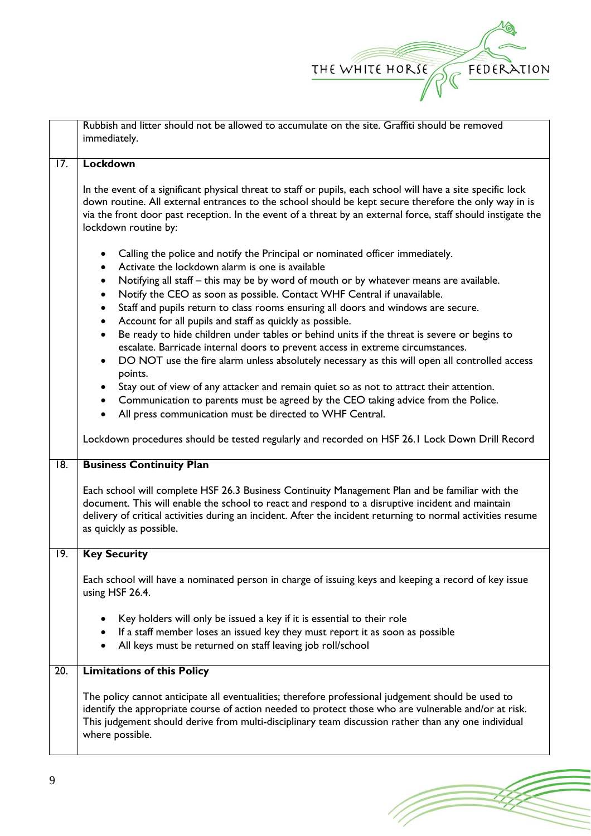

|                   | Rubbish and litter should not be allowed to accumulate on the site. Graffiti should be removed<br>immediately.                                                                                                                                                                                                                                                                                                                                                                                                                                                                                                         |  |  |
|-------------------|------------------------------------------------------------------------------------------------------------------------------------------------------------------------------------------------------------------------------------------------------------------------------------------------------------------------------------------------------------------------------------------------------------------------------------------------------------------------------------------------------------------------------------------------------------------------------------------------------------------------|--|--|
|                   |                                                                                                                                                                                                                                                                                                                                                                                                                                                                                                                                                                                                                        |  |  |
| 17.               | Lockdown                                                                                                                                                                                                                                                                                                                                                                                                                                                                                                                                                                                                               |  |  |
|                   | In the event of a significant physical threat to staff or pupils, each school will have a site specific lock<br>down routine. All external entrances to the school should be kept secure therefore the only way in is<br>via the front door past reception. In the event of a threat by an external force, staff should instigate the<br>lockdown routine by:                                                                                                                                                                                                                                                          |  |  |
|                   | Calling the police and notify the Principal or nominated officer immediately.<br>Activate the lockdown alarm is one is available<br>Notifying all staff – this may be by word of mouth or by whatever means are available.<br>$\bullet$<br>Notify the CEO as soon as possible. Contact WHF Central if unavailable.<br>$\bullet$<br>Staff and pupils return to class rooms ensuring all doors and windows are secure.<br>$\bullet$<br>Account for all pupils and staff as quickly as possible.<br>$\bullet$<br>Be ready to hide children under tables or behind units if the threat is severe or begins to<br>$\bullet$ |  |  |
|                   | escalate. Barricade internal doors to prevent access in extreme circumstances.<br>DO NOT use the fire alarm unless absolutely necessary as this will open all controlled access<br>$\bullet$<br>points.<br>Stay out of view of any attacker and remain quiet so as not to attract their attention.<br>$\bullet$<br>Communication to parents must be agreed by the CEO taking advice from the Police.<br>$\bullet$<br>All press communication must be directed to WHF Central.<br>$\bullet$                                                                                                                             |  |  |
|                   | Lockdown procedures should be tested regularly and recorded on HSF 26.1 Lock Down Drill Record                                                                                                                                                                                                                                                                                                                                                                                                                                                                                                                         |  |  |
| $\overline{18}$ . | <b>Business Continuity Plan</b>                                                                                                                                                                                                                                                                                                                                                                                                                                                                                                                                                                                        |  |  |
|                   | Each school will complete HSF 26.3 Business Continuity Management Plan and be familiar with the<br>document. This will enable the school to react and respond to a disruptive incident and maintain<br>delivery of critical activities during an incident. After the incident returning to normal activities resume<br>as quickly as possible.                                                                                                                                                                                                                                                                         |  |  |
| 19.               | <b>Key Security</b>                                                                                                                                                                                                                                                                                                                                                                                                                                                                                                                                                                                                    |  |  |
|                   | Each school will have a nominated person in charge of issuing keys and keeping a record of key issue<br>using HSF 26.4.                                                                                                                                                                                                                                                                                                                                                                                                                                                                                                |  |  |
|                   | Key holders will only be issued a key if it is essential to their role<br>If a staff member loses an issued key they must report it as soon as possible<br>$\bullet$<br>All keys must be returned on staff leaving job roll/school<br>$\bullet$                                                                                                                                                                                                                                                                                                                                                                        |  |  |
| 20.               | <b>Limitations of this Policy</b>                                                                                                                                                                                                                                                                                                                                                                                                                                                                                                                                                                                      |  |  |
|                   | The policy cannot anticipate all eventualities; therefore professional judgement should be used to<br>identify the appropriate course of action needed to protect those who are vulnerable and/or at risk.<br>This judgement should derive from multi-disciplinary team discussion rather than any one individual<br>where possible.                                                                                                                                                                                                                                                                                   |  |  |